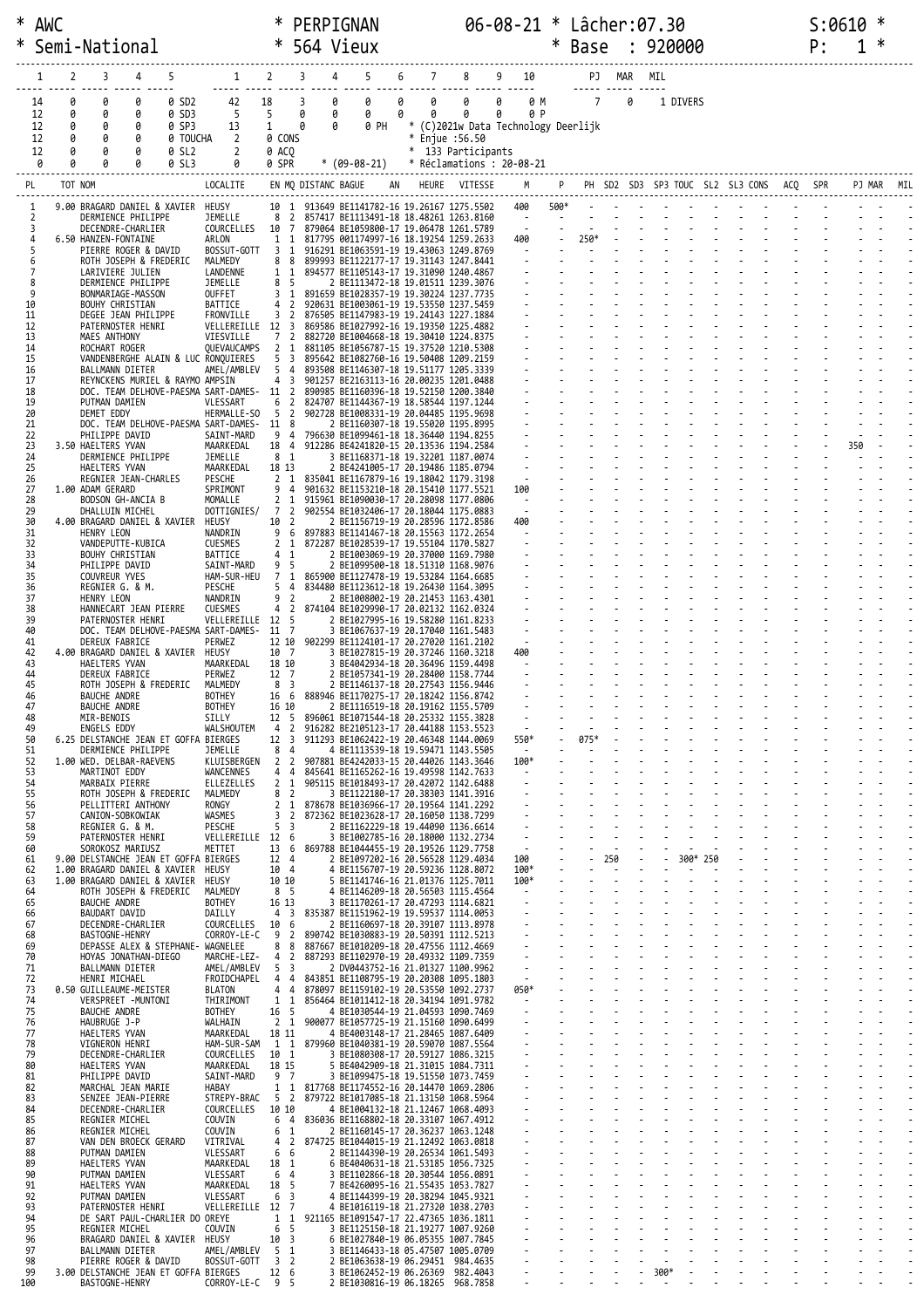|          |          |         | Semi-National                                                           |                |                               |                                                         |                     | * 564 Vieux                                                                      |    |                |                        |                                                 |                | <b>Base</b>    |        |   | 920000                                   |          |  | Ρ: | ∗      |  |
|----------|----------|---------|-------------------------------------------------------------------------|----------------|-------------------------------|---------------------------------------------------------|---------------------|----------------------------------------------------------------------------------|----|----------------|------------------------|-------------------------------------------------|----------------|----------------|--------|---|------------------------------------------|----------|--|----|--------|--|
|          |          | 2       | 3<br>4                                                                  | 5              | $\mathbf{1}$                  | 2                                                       | 3                   | 5<br>4                                                                           | 6  | $\overline{7}$ | 8                      | 9<br>10                                         |                |                | PJ MAR |   | MTL                                      |          |  |    |        |  |
|          | 14       | Ø       | 0<br>0                                                                  | 0 SD2          | 42                            | 18                                                      | 3                   | 0<br>0                                                                           | 0  | 0              | deses desse codes<br>0 | 0<br>0 M                                        |                | $7^{\circ}$    |        | 0 | 1 DIVERS                                 |          |  |    |        |  |
|          | 12<br>12 | 0<br>0  | 0<br>0<br>0<br>0                                                        | 0 SD3<br>0 SP3 | 5<br>13                       | 5<br>$\mathbf{1}$                                       | 0<br>0              | 0<br>0<br>0 PH<br>0                                                              | 0  | 0              | 0                      | 0<br>0 P<br>* (C)2021w Data Technology Deerlijk |                |                |        |   |                                          |          |  |    |        |  |
|          | 12       | 0       | 0<br>0                                                                  | 0 TOUCHA       | 2                             | 0 CONS                                                  |                     |                                                                                  |    |                | * Enjue :56.50         |                                                 |                |                |        |   |                                          |          |  |    |        |  |
|          | 12<br>0  | 0<br>0  | 0<br>0<br>0                                                             | 0 SL2<br>0 SL3 | $\overline{2}$<br>0           | 0 ACO<br>0 SPR                                          |                     | $*(09-08-21)$                                                                    |    |                | * 133 Participants     | * Réclamations : 20-08-21                       |                |                |        |   |                                          |          |  |    |        |  |
| PL       |          | TOT NOM |                                                                         |                | LOCALITE                      |                                                         | EN MQ DISTANC BAGUE |                                                                                  | AN |                | HEURE VITESSE          | M                                               |                | P <sub>1</sub> |        |   | PH SD2 SD3 SP3 TOUC SL2 SL3 CONS ACQ SPR |          |  |    | PJ MAR |  |
| 1        |          |         | 9.00 BRAGARD DANIEL & XAVIER HEUSY                                      |                |                               | 10 1                                                    |                     | 913649 BE1141782-16 19.26167 1275.5502                                           |    |                |                        | 400                                             | 500*           |                |        |   |                                          |          |  |    |        |  |
|          | 2<br>3   |         | DERMIENCE PHILIPPE<br>DECENDRE-CHARLIER                                 |                | JEMELLE<br>COURCELLES         | 8<br>$\overline{2}$<br>10 7                             |                     | 857417 BE1113491-18 18.48261 1263.8160<br>879064 BE1059800-17 19.06478 1261.5789 |    |                |                        | $\sim$ $-$<br>$\sim 100$                        | $\blacksquare$ |                |        |   |                                          |          |  |    |        |  |
|          | 4<br>5   |         | 6.50 HANZEN-FONTAINE<br>PIERRE ROGER & DAVID                            |                | ARLON<br>BOSSUT-GOTT          | 1<br>-1<br>- 1<br>3                                     |                     | 817795 001174997-16 18.19254 1259.2633<br>916291 BE1063591-19 19.43063 1249.8769 |    |                |                        | 400<br>$\sim 100$                               |                | 250*<br>$\sim$ |        |   |                                          |          |  |    |        |  |
|          | 6        |         | ROTH JOSEPH & FREDERIC<br>LARIVIERE JULIEN                              |                | MALMEDY<br>LANDENNE           | 8<br>8<br>$\mathbf{1}$<br>-1                            |                     | 899993 BE1122177-17 19.31143 1247.8441<br>894577 BE1105143-17 19.31090 1240.4867 |    |                |                        |                                                 |                |                |        |   |                                          |          |  |    |        |  |
|          | 8<br>9   |         | DERMIENCE PHILIPPE<br>BONMARIAGE-MASSON                                 |                | JEMELLE<br>OUFFET             | 8<br>- 5<br>3 <sub>1</sub>                              |                     | 2 BE1113472-18 19.01511 1239.3076<br>891659 BE1028357-19 19.30224 1237.7735      |    |                |                        | $\Delta \sim 10^{-1}$                           |                |                |        |   |                                          |          |  |    |        |  |
| 10<br>11 |          |         | BOUHY CHRISTIAN                                                         |                | BATTICE                       | 4 2                                                     |                     | 920631 BE1003061-19 19.53550 1237.5459                                           |    |                |                        |                                                 |                |                |        |   |                                          |          |  |    |        |  |
| 12       |          |         | DEGEE JEAN PHILIPPE<br>PATERNOSTER HENRI                                |                | FRONVILLE<br>VELLEREILLE      | 3<br>$\overline{2}$<br>12 3                             |                     | 876505 BE1147983-19 19.24143 1227.1884<br>869586 BE1027992-16 19.19350 1225.4882 |    |                |                        |                                                 |                |                |        |   |                                          |          |  |    |        |  |
| 13<br>14 |          |         | MAES ANTHONY<br>ROCHART ROGER                                           |                | VIESVILLE<br>QUEVAUCAMPS      | $\overline{2}$<br>7<br>2<br>1                           |                     | 882720 BE1004668-18 19.30410 1224.8375<br>881105 BE1056787-15 19.37520 1210.5308 |    |                |                        |                                                 |                |                |        |   |                                          |          |  |    |        |  |
| 15<br>16 |          |         | VANDENBERGHE ALAIN & LUC RONQUIERES<br>BALLMANN DIETER                  |                | AMEL/AMBLEV                   | 5<br>$\overline{\mathbf{3}}$<br>5<br>-4                 |                     | 895642 BE1082760-16 19.50408 1209.2159<br>893508 BE1146307-18 19.51177 1205.3339 |    |                |                        | $\sim 10$                                       |                |                |        |   |                                          |          |  |    |        |  |
| 17<br>18 |          |         | REYNCKENS MURIEL & RAYMO AMPSIN<br>DOC. TEAM DELHOVE-PAESMA SART-DAMES- |                |                               | $\overline{3}$<br>4<br>11 2                             |                     | 901257 BE2163113-16 20.00235 1201.0488<br>890985 BE1160396-18 19.52150 1200.3840 |    |                |                        |                                                 |                |                |        |   |                                          |          |  |    |        |  |
| 19<br>20 |          |         | PUTMAN DAMIEN<br>DEMET EDDY                                             |                | VLESSART<br>HERMALLE-SO       | $\overline{2}$<br>6<br>-5<br>$\overline{2}$             |                     | 824707 BE1144367-19 18.58544 1197.1244<br>902728 BE1008331-19 20.04485 1195.9698 |    |                |                        |                                                 |                |                |        |   |                                          |          |  |    |        |  |
| 21<br>22 |          |         | DOC. TEAM DELHOVE-PAESMA SART-DAMES-<br>PHILIPPE DAVID                  |                | SAINT-MARD                    | 11 8<br>9<br>4                                          |                     | 2 BE1160307-18 19.55020 1195.8995<br>796630 BE1099461-18 18.36440 1194.8255      |    |                |                        | $\sim 10$                                       |                |                |        |   |                                          |          |  |    |        |  |
| 23<br>24 |          |         | 3.50 HAELTERS YVAN<br>DERMIENCE PHILIPPE                                |                | MAARKEDAL<br>JEMELLE          | 18 4<br>8 1                                             |                     | 912286 BE4241820-15 20.13536 1194.2584<br>3 BE1168371-18 19.32201 1187.0074      |    |                |                        |                                                 |                |                |        |   |                                          |          |  |    | 350    |  |
| 25<br>26 |          |         | HAELTERS YVAN<br>REGNIER JEAN-CHARLES                                   |                | MAARKEDAL                     | 18 13<br>2 <sub>1</sub>                                 |                     | 2 BE4241005-17 20.19486 1185.0794                                                |    |                |                        | $\sim$                                          |                |                |        |   |                                          |          |  |    |        |  |
| 27       |          |         | 1.00 ADAM GERARD                                                        |                | <b>PESCHE</b><br>SPRIMONT     | 9<br>$\overline{4}$                                     |                     | 835041 BE1167879-16 19.18042 1179.3198<br>901632 BE1153210-18 20.15410 1177.5521 |    |                |                        | 100                                             |                |                |        |   |                                          |          |  |    |        |  |
| 28<br>29 |          |         | BODSON GH-ANCIA B<br>DHALLUIN MICHEL                                    |                | MOMALLE<br>DOTTIGNIES/        | $\overline{2}$<br>- 1<br>7<br>$\overline{2}$            |                     | 915961 BE1090030-17 20.28098 1177.0806<br>902554 BE1032406-17 20.18044 1175.0883 |    |                |                        | $\sim$ $-$<br>$\sim$                            |                |                |        |   |                                          |          |  |    |        |  |
| 30<br>31 |          |         | 4.00 BRAGARD DANIEL & XAVIER<br>HENRY LEON                              |                | HEUSY<br>NANDRIN              | 10 2<br>9<br>- 6                                        |                     | 2 BE1156719-19 20.28596 1172.8586<br>897883 BE1141467-18 20.15563 1172.2654      |    |                |                        | 400                                             |                |                |        |   |                                          |          |  |    |        |  |
| 32<br>33 |          |         | VANDEPUTTE-KUBICA<br>BOUHY CHRISTIAN                                    |                | <b>CUESMES</b><br>BATTICE     | $\overline{2}$<br>1<br>1<br>4                           |                     | 872287 BE1028539-17 19.55104 1170.5827<br>2 BE1003069-19 20.37000 1169.7980      |    |                |                        | $\sim$                                          |                |                |        |   |                                          |          |  |    |        |  |
| 34<br>35 |          |         | PHILIPPE DAVID<br>COUVREUR YVES                                         |                | SAINT-MARD<br>HAM-SUR-HEU     | 9<br>- 5<br>$\overline{7}$<br>-1                        |                     | 2 BE1099500-18 18.51310 1168.9076<br>865900 BE1127478-19 19.53284 1164.6685      |    |                |                        |                                                 |                |                |        |   |                                          |          |  |    |        |  |
| 36<br>37 |          |         | REGNIER G. & M.<br>HENRY LEON                                           |                | PESCHE<br>NANDRIN             | 5<br>$\overline{4}$<br>9<br>$\overline{2}$              |                     | 834480 BE1123612-18 19.26430 1164.3095<br>2 BE1008002-19 20.21453 1163.4301      |    |                |                        |                                                 |                |                |        |   |                                          |          |  |    |        |  |
| 38<br>39 |          |         | HANNECART JEAN PIERRE<br>PATERNOSTER HENRI                              |                | <b>CUESMES</b><br>VELLEREILLE | 4<br>2<br>- 5<br>12                                     |                     | 874104 BE1029990-17 20.02132 1162.0324<br>2 BE1027995-16 19.58280 1161.8233      |    |                |                        |                                                 |                |                |        |   |                                          |          |  |    |        |  |
| 40       |          |         | DOC. TEAM DELHOVE-PAESMA SART-DAMES-                                    |                |                               | 11 7<br>12 10                                           |                     | 3 BE1067637-19 20.17040 1161.5483<br>902299 BE1124101-17 20.27020 1161.2102      |    |                |                        | $\langle \frac{\pi}{2} \rangle$<br>$\sim 10$    |                |                |        |   |                                          |          |  |    |        |  |
| 41<br>42 |          |         | DEREUX FABRICE<br>4.00 BRAGARD DANIEL & XAVIER                          |                | PERWEZ<br>HEUSY               | 10 7                                                    |                     | 3 BE1027815-19 20.37246 1160.3218                                                |    |                |                        | 400                                             |                |                |        |   |                                          |          |  |    |        |  |
| 43<br>44 |          |         | HAELTERS YVAN<br>DEREUX FABRICE                                         |                | MAARKEDAL<br>PERWEZ           | 18 10<br>12 7                                           |                     | 3 BE4042934-18 20.36496 1159.4498<br>2 BE1057341-19 20.28400 1158.7744           |    |                |                        | $\sim$                                          |                |                |        |   |                                          |          |  |    |        |  |
| 45<br>46 |          |         | ROTH JOSEPH & FREDERIC<br><b>BAUCHE ANDRE</b>                           |                | MALMEDY<br><b>BOTHEY</b>      | 8 3<br>16 6                                             |                     | 2 BE1146137-18 20.27543 1156.9446<br>888946 BE1170275-17 20.18242 1156.8742      |    |                |                        |                                                 |                |                |        |   |                                          |          |  |    |        |  |
| 47<br>48 |          |         | <b>BAUCHE ANDRE</b><br>MIR-BENOIS                                       |                | <b>BOTHEY</b><br>SILLY        | 16 10<br>12 5                                           |                     | 2 BE1116519-18 20.19162 1155.5709<br>896061 BE1071544-18 20.25332 1155.3828      |    |                |                        |                                                 |                |                |        |   |                                          |          |  |    |        |  |
| 49<br>50 |          |         | ENGELS EDDY<br>6.25 DELSTANCHE JEAN ET GOFFA BIERGES                    |                | WALSHOUTEM                    | $\overline{2}$<br>4<br>12 <sup>3</sup>                  |                     | 916282 BE2105123-17 20.44188 1153.5523<br>911293 BE1062422-19 20.46348 1144.0069 |    |                |                        | 550*                                            |                | 075*           |        |   |                                          |          |  |    |        |  |
| 51<br>52 |          |         | DERMIENCE PHILIPPE<br>1.00 WED. DELBAR-RAEVENS                          |                | JEMELLE<br>KLUISBERGEN        | 8<br>$\overline{4}$<br>$\overline{2}$<br>$\overline{2}$ |                     | 4 BE1113539-18 19.59471 1143.5505<br>907881 BE4242033-15 20.44026 1143.3646      |    |                |                        | $\sim$ 100 $\mu$<br>100*                        |                |                |        |   |                                          |          |  |    |        |  |
| 53<br>54 |          |         | MARTINOT EDDY<br>MARBAIX PIERRE                                         |                | WANCENNES<br>ELLEZELLES       | 4<br>4<br>2 <sub>1</sub>                                |                     | 845641 BE1165262-16 19.49598 1142.7633<br>905115 BE1018493-17 20.42072 1142.6488 |    |                |                        | $\sim$                                          |                |                |        |   |                                          |          |  |    |        |  |
| 55<br>56 |          |         | ROTH JOSEPH & FREDERIC<br>PELLITTERI ANTHONY                            |                | MALMEDY<br>RONGY              | 8<br>$\overline{2}$<br>$\mathbf{1}$<br>$\overline{2}$   |                     | 3 BE1122180-17 20.38303 1141.3916<br>878678 BE1036966-17 20.19564 1141.2292      |    |                |                        |                                                 |                |                |        |   |                                          |          |  |    |        |  |
| 57<br>58 |          |         | CANION-SOBKOWIAK<br>REGNIER G. & M.                                     |                | WASMES<br>PESCHE              | 3<br>$\overline{2}$<br>5<br>$\overline{\mathbf{3}}$     |                     | 872362 BE1023628-17 20.16050 1138.7299<br>2 BE1162229-18 19.44090 1136.6614      |    |                |                        | $\sim$                                          |                |                |        |   |                                          |          |  |    |        |  |
| 59       |          |         | PATERNOSTER HENRI                                                       |                | VELLEREILLE 12                | - 6                                                     |                     | 3 BE1002785-16 20.18000 1132.2734                                                |    |                |                        | $\sim$                                          |                |                |        |   |                                          |          |  |    |        |  |
| 60<br>61 |          |         | SOROKOSZ MARIUSZ<br>9.00 DELSTANCHE JEAN ET GOFFA BIERGES               |                | METTET                        | 13<br>6<br>12 4                                         |                     | 869788 BE1044455-19 20.19526 1129.7758<br>2 BE1097202-16 20.56528 1129.4034      |    |                |                        | 100                                             |                |                | 250    |   |                                          | 300* 250 |  |    |        |  |
| 62<br>63 |          |         | 1.00 BRAGARD DANIEL & XAVIER HEUSY<br>1.00 BRAGARD DANIEL & XAVIER      |                | HEUSY                         | 10 4<br>10 10                                           |                     | 4 BE1156707-19 20.59236 1128.8072<br>5 BE1141746-16 21.01376 1125.7011           |    |                |                        | $100*$<br>100*                                  |                |                |        |   |                                          |          |  |    |        |  |
| 64<br>65 |          |         | ROTH JOSEPH & FREDERIC<br><b>BAUCHE ANDRE</b>                           |                | MALMEDY<br><b>BOTHEY</b>      | 8 5<br>16 13                                            |                     | 4 BE1146209-18 20.56503 1115.4564<br>3 BE1170261-17 20.47293 1114.6821           |    |                |                        | $\sim$<br>$\overline{\phantom{a}}$              |                |                |        |   |                                          |          |  |    |        |  |
| 66<br>67 |          |         | BAUDART DAVID<br>DECENDRE-CHARLIER                                      |                | DAILLY<br>COURCELLES          | 4 <sup>3</sup><br>10<br>- 6                             |                     | 835387 BE1151962-19 19.59537 1114.0053<br>2 BE1160697-18 20.39107 1113.8978      |    |                |                        |                                                 |                |                |        |   |                                          |          |  |    |        |  |
| 68<br>69 |          |         | <b>BASTOGNE-HENRY</b><br>DEPASSE ALEX & STEPHANE- WAGNELEE              |                | CORROY-LE-C                   | 9<br>$\overline{2}$<br>8<br>8                           |                     | 890742 BE1030883-19 20.50391 1112.5213<br>887667 BE1010209-18 20.47556 1112.4669 |    |                |                        | $\overline{\phantom{a}}$<br>$\sim$              |                |                |        |   |                                          |          |  |    |        |  |
| 70<br>71 |          |         | HOYAS JONATHAN-DIEGO<br>BALLMANN DIETER                                 |                | MARCHE-LEZ-<br>AMEL/AMBLEV    | $\overline{2}$<br>4<br>5<br>$\overline{\mathbf{3}}$     |                     | 887293 BE1102970-19 20.49332 1109.7359<br>2 DV0443752-16 21.01327 1100.9962      |    |                |                        | $\blacksquare$                                  |                |                |        |   |                                          |          |  |    |        |  |
| 72<br>73 |          |         | HENRI MICHAEL<br>0.50 GUILLEAUME-MEISTER                                |                | FROIDCHAPEL<br><b>BLATON</b>  | 44<br>4 4                                               |                     | 843851 BE1108795-19 20.20308 1095.1803<br>878097 BE1159102-19 20.53550 1092.2737 |    |                |                        | $\sim$<br>050*                                  |                |                |        |   |                                          |          |  |    |        |  |
| 74<br>75 |          |         | VERSPREET - MUNTONI<br><b>BAUCHE ANDRE</b>                              |                | THIRIMONT<br><b>BOTHEY</b>    | $\mathbf{1}$<br>1<br>16 5                               |                     | 856464 BE1011412-18 20.34194 1091.9782<br>4 BE1030544-19 21.04593 1090.7469      |    |                |                        | $\sim$<br>$\sim$                                |                |                |        |   |                                          |          |  |    |        |  |
| 76<br>77 |          |         | HAUBRUGE J-P<br>HAELTERS YVAN                                           |                | WALHAIN<br>MAARKEDAL          | 2 <sub>1</sub><br>18 11                                 |                     | 900077 BE1057725-19 21.15160 1090.6499<br>4 BE4003148-17 21.28465 1087.6409      |    |                |                        |                                                 |                |                |        |   |                                          |          |  |    |        |  |
| 78       |          |         | VIGNERON HENRI                                                          |                | HAM-SUR-SAM                   | 1 1                                                     |                     | 879960 BE1040381-19 20.59070 1087.5564                                           |    |                |                        |                                                 |                |                |        |   |                                          |          |  |    |        |  |
| 79<br>80 |          |         | DECENDRE-CHARLIER<br>HAELTERS YVAN                                      |                | COURCELLES<br>MAARKEDAL       | 10 1<br>18 15                                           |                     | 3 BE1080308-17 20.59127 1086.3215<br>5 BE4042909-18 21.31015 1084.7311           |    |                |                        |                                                 |                |                |        |   |                                          |          |  |    |        |  |
| 81<br>82 |          |         | PHILIPPE DAVID<br>MARCHAL JEAN MARIE                                    |                | SAINT-MARD<br>HABAY           | 9 7<br>$1\quad1$                                        |                     | 3 BE1099475-18 19.51550 1073.7459<br>817768 BE1174552-16 20.14470 1069.2806      |    |                |                        | $\omega$                                        |                |                |        |   |                                          |          |  |    |        |  |
| 83<br>84 |          |         | SENZEE JEAN-PIERRE<br>DECENDRE-CHARLIER                                 |                | STREPY-BRAC<br>COURCELLES     | - 5<br>$\overline{2}$<br>10 10                          |                     | 879722 BE1017085-18 21.13150 1068.5964<br>4 BE1004132-18 21.12467 1068.4093      |    |                |                        |                                                 |                |                |        |   |                                          |          |  |    |        |  |
| 85<br>86 |          |         | REGNIER MICHEL<br>REGNIER MICHEL                                        |                | COUVIN<br>COUVIN              | 6<br>$\overline{4}$<br>1<br>6                           |                     | 836036 BE1168802-18 20.33107 1067.4912<br>2 BE1160145-17 20.36237 1063.1248      |    |                |                        |                                                 |                |                |        |   |                                          |          |  |    |        |  |
| 87<br>88 |          |         | VAN DEN BROECK GERARD<br>PUTMAN DAMIEN                                  |                | VITRIVAL<br>VLESSART          | 4<br>$\overline{2}$<br>6<br>6                           |                     | 874725 BE1044015-19 21.12492 1063.0818<br>2 BE1144390-19 20.26534 1061.5493      |    |                |                        | $\omega$                                        |                |                |        |   |                                          |          |  |    |        |  |
| 89<br>90 |          |         | HAELTERS YVAN<br>PUTMAN DAMIEN                                          |                | MAARKEDAL<br>VLESSART         | 1<br>18<br>6<br>$\overline{4}$                          |                     | 6 BE4040631-18 21.53185 1056.7325<br>3 BE1102866-18 20.30544 1056.0891           |    |                |                        |                                                 |                |                |        |   |                                          |          |  |    |        |  |
| 91<br>92 |          |         | HAELTERS YVAN<br>PUTMAN DAMIEN                                          |                | MAARKEDAL<br>VLESSART         | 5<br>18<br>$\overline{\mathbf{3}}$<br>6                 |                     | 7 BE4260095-16 21.55435 1053.7827<br>4 BE1144399-19 20.38294 1045.9321           |    |                |                        |                                                 |                |                |        |   |                                          |          |  |    |        |  |
| 93<br>94 |          |         | PATERNOSTER HENRI<br>DE SART PAUL-CHARLIER DO OREYE                     |                | VELLEREILLE 12 7              | 1<br>1                                                  |                     | 4 BE1016119-18 21.27320 1038.2703<br>921165 BE1091547-17 22.47365 1036.1811      |    |                |                        | $\omega$                                        |                |                |        |   |                                          |          |  |    |        |  |
| 95<br>96 |          |         | REGNIER MICHEL<br>BRAGARD DANIEL & XAVIER                               |                | COUVIN<br>HEUSY               | -5<br>6<br>$\overline{\mathbf{3}}$<br>10                |                     | 3 BE1125150-18 21.19277 1007.9260<br>6 BE1027840-19 06.05355 1007.7845           |    |                |                        |                                                 |                |                |        |   |                                          |          |  |    |        |  |
| 97       |          |         | BALLMANN DIETER                                                         |                | AMEL/AMBLEV                   | 5<br>-1                                                 |                     | 3 BE1146433-18 05.47507 1005.0709                                                |    |                |                        |                                                 |                |                |        |   |                                          |          |  |    |        |  |
| 98<br>99 |          |         | PIERRE ROGER & DAVID<br>3.00 DELSTANCHE JEAN ET GOFFA BIERGES           |                | BOSSUT-GOTT                   | $\overline{\mathbf{3}}$<br>$\overline{2}$<br>12 6       |                     | 2 BE1063638-19 06.29451 984.4635<br>3 BE1062452-19 06.26369 982.4043             |    |                |                        | $\overline{\phantom{a}}$                        |                |                |        | ÷ | 300*                                     |          |  |    |        |  |
| 100      |          |         | BASTOGNE-HENRY                                                          |                | CORROY-LE-C 9 5               |                                                         |                     | 2 BE1030816-19 06.18265 968.7858                                                 |    |                |                        |                                                 |                |                |        |   |                                          |          |  |    |        |  |

\* AWC \* PERPIGNAN  $\bullet$  06-08-21 \* Lâcher:07.30 S:0610 \*